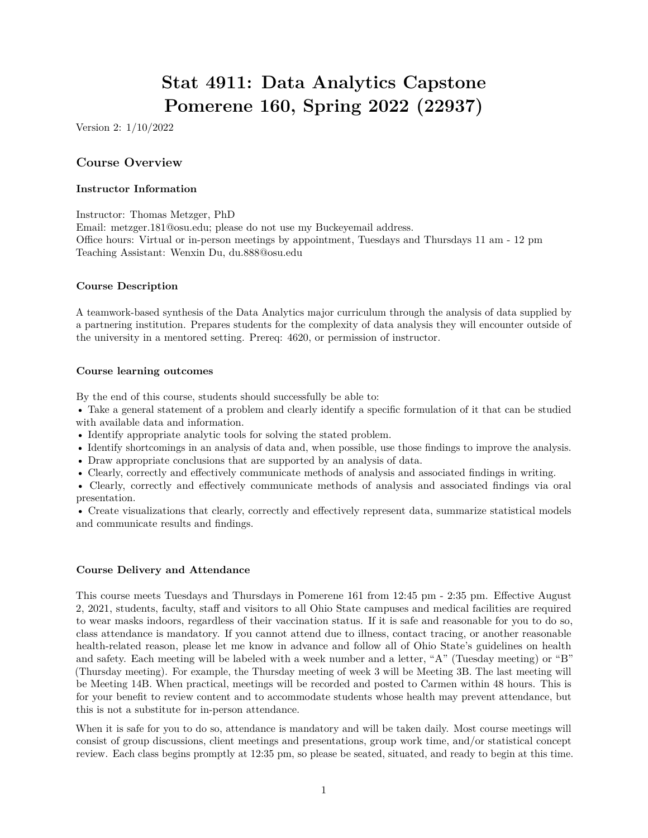# **Stat 4911: Data Analytics Capstone Pomerene 160, Spring 2022 (22937)**

Version 2: 1/10/2022

## **Course Overview**

#### **Instructor Information**

Instructor: Thomas Metzger, PhD

Email: [metzger.181@osu.edu;](mailto:metzger.181@osu.edu) please do not use my Buckeyemail address. Office hours: Virtual or in-person meetings by appointment, Tuesdays and Thursdays 11 am - 12 pm Teaching Assistant: Wenxin Du, [du.888@osu.edu](mailto:du.888@osu.edu)

#### **Course Description**

A teamwork-based synthesis of the Data Analytics major curriculum through the analysis of data supplied by a partnering institution. Prepares students for the complexity of data analysis they will encounter outside of the university in a mentored setting. Prereq: 4620, or permission of instructor.

#### **Course learning outcomes**

By the end of this course, students should successfully be able to:

• Take a general statement of a problem and clearly identify a specific formulation of it that can be studied with available data and information.

- Identify appropriate analytic tools for solving the stated problem.
- Identify shortcomings in an analysis of data and, when possible, use those findings to improve the analysis.
- Draw appropriate conclusions that are supported by an analysis of data.
- Clearly, correctly and effectively communicate methods of analysis and associated findings in writing.

• Clearly, correctly and effectively communicate methods of analysis and associated findings via oral presentation.

• Create visualizations that clearly, correctly and effectively represent data, summarize statistical models and communicate results and findings.

#### **Course Delivery and Attendance**

This course meets Tuesdays and Thursdays in Pomerene 161 from 12:45 pm - 2:35 pm. Effective August 2, 2021, students, faculty, staff and visitors to all Ohio State campuses and medical facilities are required to wear masks indoors, regardless of their vaccination status. If it is safe and reasonable for you to do so, class attendance is mandatory. If you cannot attend due to illness, contact tracing, or another reasonable health-related reason, please let me know in advance and follow all of Ohio State's guidelines on health and safety. Each meeting will be labeled with a week number and a letter, "A" (Tuesday meeting) or "B" (Thursday meeting). For example, the Thursday meeting of week 3 will be Meeting 3B. The last meeting will be Meeting 14B. When practical, meetings will be recorded and posted to Carmen within 48 hours. This is for your benefit to review content and to accommodate students whose health may prevent attendance, but this is not a substitute for in-person attendance.

When it is safe for you to do so, attendance is mandatory and will be taken daily. Most course meetings will consist of group discussions, client meetings and presentations, group work time, and/or statistical concept review. Each class begins promptly at 12:35 pm, so please be seated, situated, and ready to begin at this time.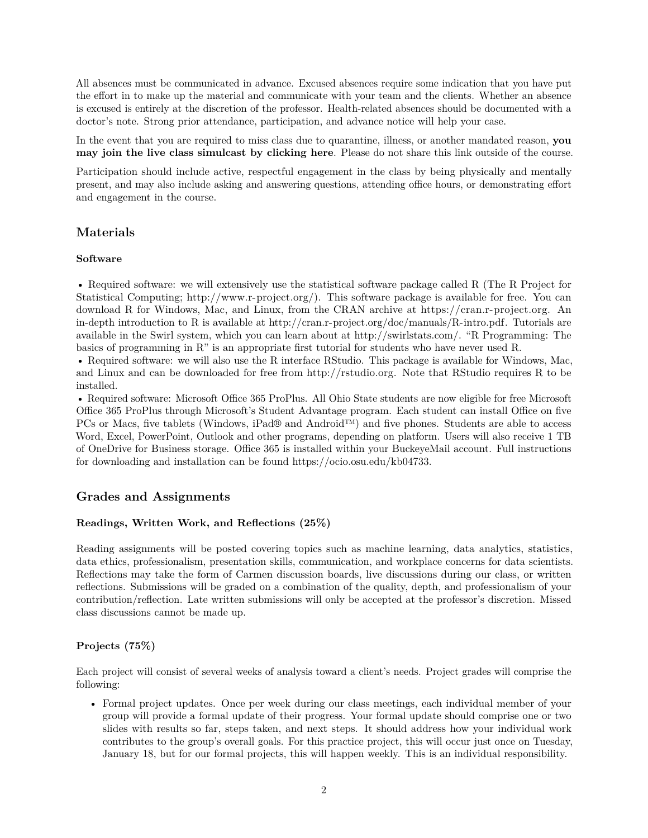All absences must be communicated in advance. Excused absences require some indication that you have put the effort in to make up the material and communicate with your team and the clients. Whether an absence is excused is entirely at the discretion of the professor. Health-related absences should be documented with a doctor's note. Strong prior attendance, participation, and advance notice will help your case.

In the event that you are required to miss class due to quarantine, illness, or another mandated reason, **[you](https://osu.zoom.us/j/93657398656?pwd=K2VxRGl5N2NqVk5tZDY0b3FQdGordz09) [may join the live class simulcast by clicking here](https://osu.zoom.us/j/93657398656?pwd=K2VxRGl5N2NqVk5tZDY0b3FQdGordz09)**. Please do not share this link outside of the course.

Participation should include active, respectful engagement in the class by being physically and mentally present, and may also include asking and answering questions, attending office hours, or demonstrating effort and engagement in the course.

# **Materials**

#### **Software**

• Required software: we will extensively use the statistical software package called R (The R Project for Statistical Computing; [http://www.r-project.org/\)](http://www.r-project.org/). This software package is available for free. You can download R for Windows, Mac, and Linux, from the CRAN archive at [https://cran.r-project.org.](https://cran.r-project.org) An in-depth introduction to R is available at [http://cran.r-project.org/doc/manuals/R-intro.pdf.](http://cran.r-project.org/doc/manuals/R-intro.pdf) Tutorials are available in the Swirl system, which you can learn about at [http://swirlstats.com/.](http://swirlstats.com/) "R Programming: The basics of programming in R" is an appropriate first tutorial for students who have never used R.

• Required software: we will also use the R interface RStudio. This package is available for Windows, Mac, and Linux and can be downloaded for free from [http://rstudio.org.](http://rstudio.org) Note that RStudio requires R to be installed.

• Required software: Microsoft Office 365 ProPlus. All Ohio State students are now eligible for free Microsoft Office 365 ProPlus through Microsoft's Student Advantage program. Each student can install Office on five PCs or Macs, five tablets (Windows, iPad® and Android™) and five phones. Students are able to access Word, Excel, PowerPoint, Outlook and other programs, depending on platform. Users will also receive 1 TB of OneDrive for Business storage. Office 365 is installed within your BuckeyeMail account. Full instructions for downloading and installation can be found [https://ocio.osu.edu/kb04733.](https://ocio.osu.edu/kb04733)

# **Grades and Assignments**

## **Readings, Written Work, and Reflections (25%)**

Reading assignments will be posted covering topics such as machine learning, data analytics, statistics, data ethics, professionalism, presentation skills, communication, and workplace concerns for data scientists. Reflections may take the form of Carmen discussion boards, live discussions during our class, or written reflections. Submissions will be graded on a combination of the quality, depth, and professionalism of your contribution/reflection. Late written submissions will only be accepted at the professor's discretion. Missed class discussions cannot be made up.

## **Projects (75%)**

Each project will consist of several weeks of analysis toward a client's needs. Project grades will comprise the following:

• Formal project updates. Once per week during our class meetings, each individual member of your group will provide a formal update of their progress. Your formal update should comprise one or two slides with results so far, steps taken, and next steps. It should address how your individual work contributes to the group's overall goals. For this practice project, this will occur just once on Tuesday, January 18, but for our formal projects, this will happen weekly. This is an individual responsibility.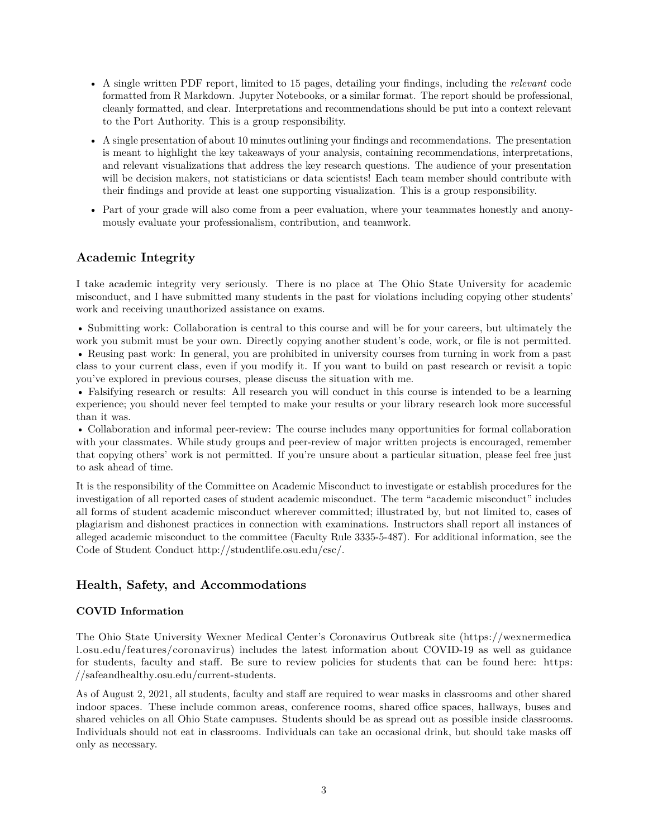- A single written PDF report, limited to 15 pages, detailing your findings, including the *relevant* code formatted from R Markdown. Jupyter Notebooks, or a similar format. The report should be professional, cleanly formatted, and clear. Interpretations and recommendations should be put into a context relevant to the Port Authority. This is a group responsibility.
- A single presentation of about 10 minutes outlining your findings and recommendations. The presentation is meant to highlight the key takeaways of your analysis, containing recommendations, interpretations, and relevant visualizations that address the key research questions. The audience of your presentation will be decision makers, not statisticians or data scientists! Each team member should contribute with their findings and provide at least one supporting visualization. This is a group responsibility.
- Part of your grade will also come from a peer evaluation, where your teammates honestly and anonymously evaluate your professionalism, contribution, and teamwork.

# **Academic Integrity**

I take academic integrity very seriously. There is no place at The Ohio State University for academic misconduct, and I have submitted many students in the past for violations including copying other students' work and receiving unauthorized assistance on exams.

• Submitting work: Collaboration is central to this course and will be for your careers, but ultimately the work you submit must be your own. Directly copying another student's code, work, or file is not permitted. • Reusing past work: In general, you are prohibited in university courses from turning in work from a past class to your current class, even if you modify it. If you want to build on past research or revisit a topic you've explored in previous courses, please discuss the situation with me.

• Falsifying research or results: All research you will conduct in this course is intended to be a learning experience; you should never feel tempted to make your results or your library research look more successful than it was.

• Collaboration and informal peer-review: The course includes many opportunities for formal collaboration with your classmates. While study groups and peer-review of major written projects is encouraged, remember that copying others' work is not permitted. If you're unsure about a particular situation, please feel free just to ask ahead of time.

It is the responsibility of the Committee on Academic Misconduct to investigate or establish procedures for the investigation of all reported cases of student academic misconduct. The term "academic misconduct" includes all forms of student academic misconduct wherever committed; illustrated by, but not limited to, cases of plagiarism and dishonest practices in connection with examinations. Instructors shall report all instances of alleged academic misconduct to the committee (Faculty Rule 3335-5-487). For additional information, see the Code of Student Conduct [http://studentlife.osu.edu/csc/.](http://studentlife.osu.edu/csc/)

# **Health, Safety, and Accommodations**

## **COVID Information**

The Ohio State University Wexner Medical Center's Coronavirus Outbreak site [\(https://wexnermedica](https://wexnermedical.osu.edu/features/coronavirus) [l.osu.edu/features/coronavirus\)](https://wexnermedical.osu.edu/features/coronavirus) includes the latest information about COVID-19 as well as guidance for students, faculty and staff. Be sure to review policies for students that can be found here: [https:](https://safeandhealthy.osu.edu/current-students) [//safeandhealthy.osu.edu/current-students.](https://safeandhealthy.osu.edu/current-students)

As of August 2, 2021, all students, faculty and staff are required to wear masks in classrooms and other shared indoor spaces. These include common areas, conference rooms, shared office spaces, hallways, buses and shared vehicles on all Ohio State campuses. Students should be as spread out as possible inside classrooms. Individuals should not eat in classrooms. Individuals can take an occasional drink, but should take masks off only as necessary.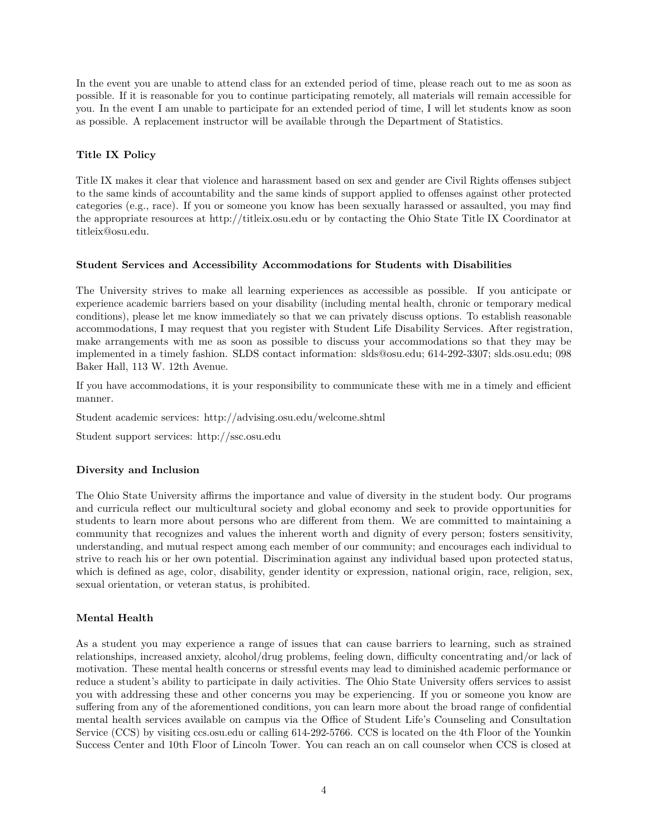In the event you are unable to attend class for an extended period of time, please reach out to me as soon as possible. If it is reasonable for you to continue participating remotely, all materials will remain accessible for you. In the event I am unable to participate for an extended period of time, I will let students know as soon as possible. A replacement instructor will be available through the Department of Statistics.

## **Title IX Policy**

Title IX makes it clear that violence and harassment based on sex and gender are Civil Rights offenses subject to the same kinds of accountability and the same kinds of support applied to offenses against other protected categories (e.g., race). If you or someone you know has been sexually harassed or assaulted, you may find the appropriate resources at<http://titleix.osu.edu> or by contacting the Ohio State Title IX Coordinator at [titleix@osu.edu.](mailto:titleix@osu.edu)

## **Student Services and Accessibility Accommodations for Students with Disabilities**

The University strives to make all learning experiences as accessible as possible. If you anticipate or experience academic barriers based on your disability (including mental health, chronic or temporary medical conditions), please let me know immediately so that we can privately discuss options. To establish reasonable accommodations, I may request that you register with Student Life Disability Services. After registration, make arrangements with me as soon as possible to discuss your accommodations so that they may be implemented in a timely fashion. SLDS contact information: [slds@osu.edu;](mailto:slds@osu.edu) 614-292-3307; slds.osu.edu; 098 Baker Hall, 113 W. 12th Avenue.

If you have accommodations, it is your responsibility to communicate these with me in a timely and efficient manner.

Student academic services:<http://advising.osu.edu/welcome.shtml>

Student support services:<http://ssc.osu.edu>

## **Diversity and Inclusion**

The Ohio State University affirms the importance and value of diversity in the student body. Our programs and curricula reflect our multicultural society and global economy and seek to provide opportunities for students to learn more about persons who are different from them. We are committed to maintaining a community that recognizes and values the inherent worth and dignity of every person; fosters sensitivity, understanding, and mutual respect among each member of our community; and encourages each individual to strive to reach his or her own potential. Discrimination against any individual based upon protected status, which is defined as age, color, disability, gender identity or expression, national origin, race, religion, sex, sexual orientation, or veteran status, is prohibited.

## **Mental Health**

As a student you may experience a range of issues that can cause barriers to learning, such as strained relationships, increased anxiety, alcohol/drug problems, feeling down, difficulty concentrating and/or lack of motivation. These mental health concerns or stressful events may lead to diminished academic performance or reduce a student's ability to participate in daily activities. The Ohio State University offers services to assist you with addressing these and other concerns you may be experiencing. If you or someone you know are suffering from any of the aforementioned conditions, you can learn more about the broad range of confidential mental health services available on campus via the Office of Student Life's Counseling and Consultation Service (CCS) by visiting ccs.osu.edu or calling 614-292-5766. CCS is located on the 4th Floor of the Younkin Success Center and 10th Floor of Lincoln Tower. You can reach an on call counselor when CCS is closed at